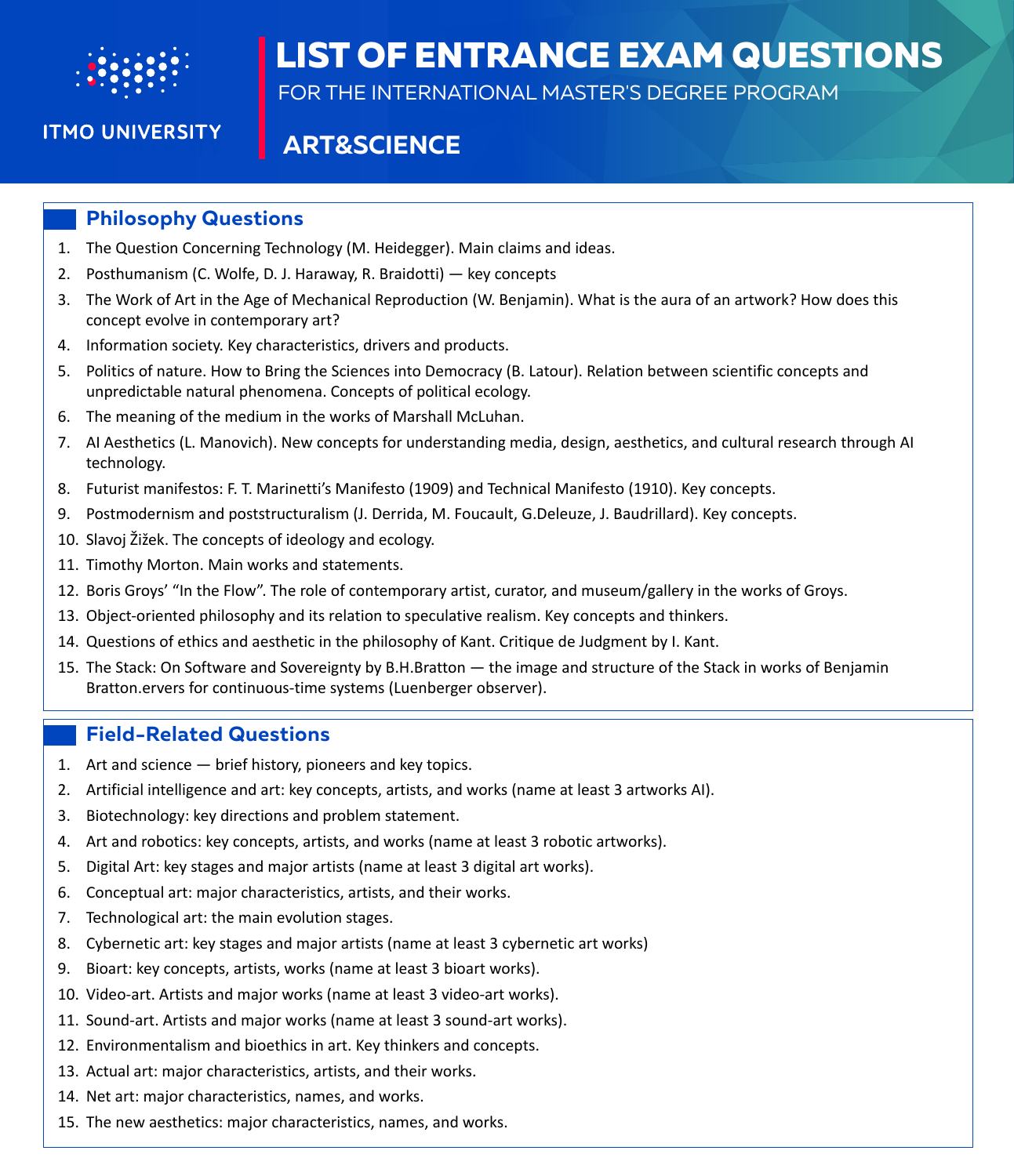

# **LIST OF ENTRANCE EXAM QUESTIONS**

FOR THE INTERNATIONAL MASTER'S DEGREE PROGRAM

## **ITMO UNIVERSITY**

# **ART&SCIENCE**

#### **Philosophy Questions**

- 1. The Question Concerning Technology (M. Heidegger). Main claims and ideas.
- 2. Posthumanism (C. Wolfe, D. J. Haraway, R. Braidotti) key concepts
- 3. The Work of Art in the Age of Mechanical Reproduction (W. Benjamin). What is the aura of an artwork? How does this concept evolve in contemporary art?
- 4. Information society. Key characteristics, drivers and products.
- 5. Politics of nature. How to Bring the Sciences into Democracy (B. Latour). Relation between scientific concepts and unpredictable natural phenomena. Concepts of political ecology.
- 6. The meaning of the medium in the works of Marshall McLuhan.
- 7. AI Aesthetics (L. Manovich). New concepts for understanding media, design, aesthetics, and cultural research through AI technology.
- 8. Futurist manifestos: F. T. Marinetti's Manifesto (1909) and Technical Manifesto (1910). Key concepts.
- 9. Postmodernism and poststructuralism (J. Derrida, M. Foucault, G.Deleuze, J. Baudrillard). Key concepts.
- 10. Slavoj Žižek. The concepts of ideology and ecology.
- 11. Timothy Morton. Main works and statements.
- 12. Boris Groys' "In the Flow". The role of contemporary artist, curator, and museum/gallery in the works of Groys.
- 13. Object-oriented philosophy and its relation to speculative realism. Key concepts and thinkers.
- 14. Questions of ethics and aesthetic in the philosophy of Kant. Critique de Judgment by I. Kant.
- 15. The Stack: On Software and Sovereignty by B.H.Bratton the image and structure of the Stack in works of Benjamin Bratton.ervers for continuous-time systems (Luenberger observer).

#### **Field-Related Questions**

- 1. Art and science brief history, pioneers and key topics.
- 2. Artificial intelligence and art: key concepts, artists, and works (name at least 3 artworks AI).
- 3. Biotechnology: key directions and problem statement.
- 4. Art and robotics: key concepts, artists, and works (name at least 3 robotic artworks).
- 5. Digital Art: key stages and major artists (name at least 3 digital art works).
- 6. Conceptual art: major characteristics, artists, and their works.
- 7. Technological art: the main evolution stages.
- 8. Cybernetic art: key stages and major artists (name at least 3 cybernetic art works)
- 9. Bioart: key concepts, artists, works (name at least 3 bioart works).
- 10. Video-art. Artists and major works (name at least 3 video-art works).
- 11. Sound-art. Artists and major works (name at least 3 sound-art works).
- 12. Environmentalism and bioethics in art. Key thinkers and concepts.
- 13. Actual art: major characteristics, artists, and their works.
- 14. Net art: major characteristics, names, and works.
- 15. The new aesthetics: major characteristics, names, and works.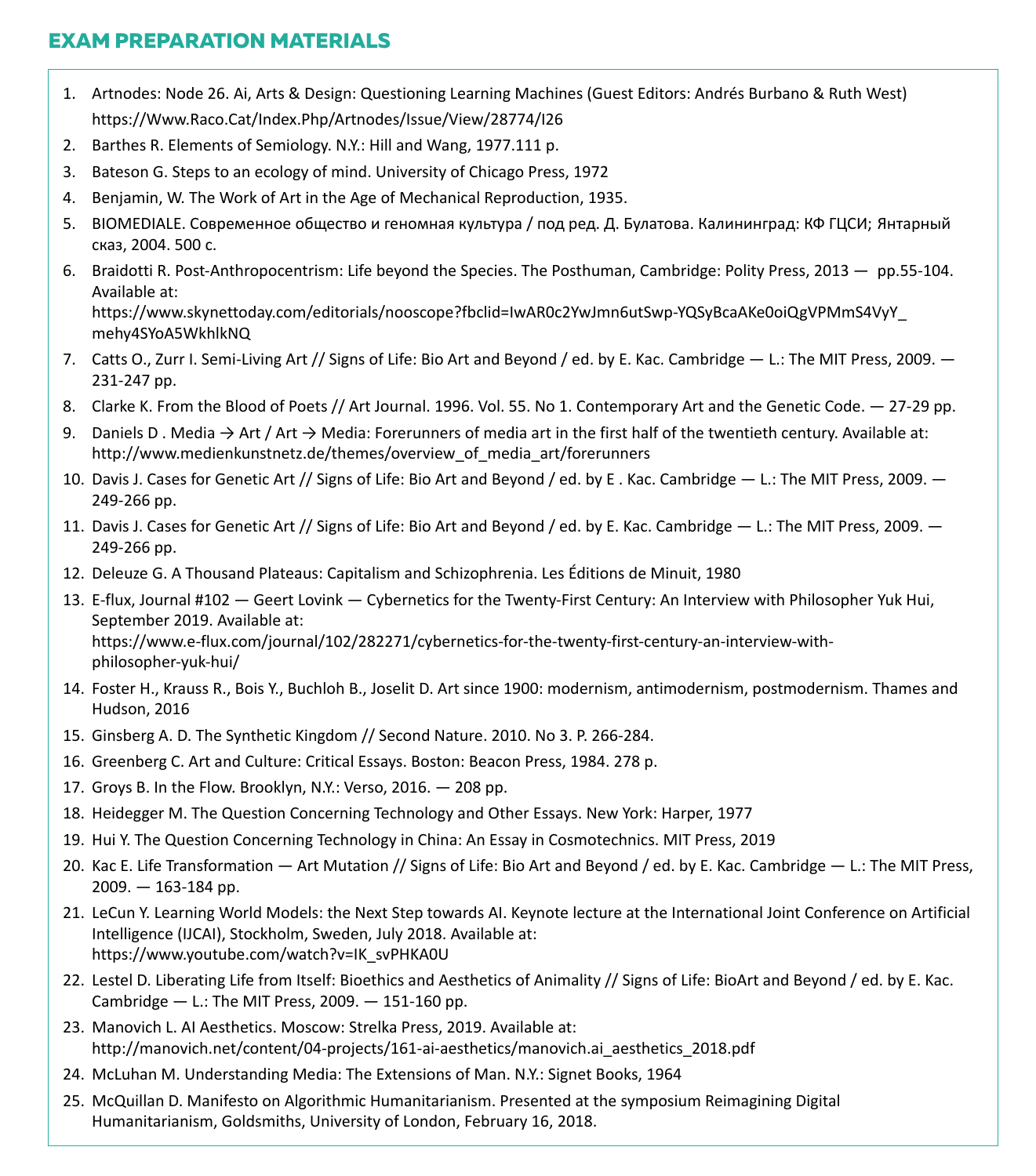### **EXAM PREPARATION MATERIALS**

- 1. Artnodes: Node 26. Ai, Arts & Design: Questioning Learning Machines (Guest Editors: Andrés Burbano & Ruth West) <https://Www.Raco.Cat/Index.Php/Artnodes/Issue/View/28774/I26>
- 2. Barthes R. Elements of Semiology. N.Y.: Hill and Wang, 1977.111 p.
- 3. Bateson G. Steps to an ecology of mind. University of Chicago Press, 1972
- 4. Benjamin, W. The Work of Art in the Age of Mechanical Reproduction, 1935.
- 5. BIOMEDIALE. Современное общество и геномная культура / под ред. Д. Булатова. Калининград: КФ ГЦСИ; Янтарный сказ, 2004. 500 с.
- 6. Braidotti R. Post-Anthropocentrism: Life beyond the Species. The Posthuman, Cambridge: Polity Press, 2013 pp.55-104. Available at:

 [https://www.skynettoday.com/editorials/nooscope?fbclid=IwAR0c2YwJmn6utSwp-YQSyBcaAKe0oiQgVPMmS4VyY\\_](https://www.skynettoday.com/editorials/nooscope?fbclid=IwAR0c2YwJmn6utSwp-YQSyBcaAKe0oiQgVPMmS4VyY_) mehy4SYoA5WkhlkNQ

- 7. Catts O., Zurr I. Semi-Living Art // Signs of Life: Bio Art and Beyond / еd. by E. Kac. Cambridge L.: The MIT Press, 2009. 231-247 pp.
- 8. Clarke K. From the Blood of Poets // Art Journal. 1996. Vol. 55. No 1. Contemporary Art and the Genetic Code. 27-29 pp.
- 9. Daniels D . Media  $\rightarrow$  Art / Art  $\rightarrow$  Media: Forerunners of media art in the first half of the twentieth century. Available at: [http://www.medienkunstnetz.de/themes/overview\\_of\\_media\\_art/forerunners](http://www.medienkunstnetz.de/themes/overview_of_media_art/forerunners)
- 10. Davis J. Cases for Genetic Art // Signs of Life: Bio Art and Beyond / еd. by E . Kac. Cambridge L.: The MIT Press, 2009. 249-266 pp.
- 11. Davis J. Cases for Genetic Art // Signs of Life: Bio Art and Beyond / еd. by E. Kac. Cambridge L.: The MIT Press, 2009. 249-266 pp.
- 12. Deleuze G. A Thousand Plateaus: Capitalism and Schizophrenia. Les Éditions de Minuit, 1980
- 13. E-flux, Journal #102 Geert Lovink Cybernetics for the Twenty-First Century: An Interview with Philosopher Yuk Hui, September 2019. Available at:  [https://www.e-flux.com/journal/102/282271/cybernetics-for-the-twenty-first-century-an-interview-with](https://www.e-flux.com/journal/102/282271/cybernetics-for-the-twenty-first-century-an-interview-with-philosopher-yuk-hui/) philosopher[-yuk-hui/](https://www.e-flux.com/journal/102/282271/cybernetics-for-the-twenty-first-century-an-interview-with-philosopher-yuk-hui/)
- 14. Foster H., Krauss R., Bois Y., Buchloh B., Joselit D. Art since 1900: modernism, antimodernism, postmodernism. Thames and Hudson, 2016
- 15. Ginsberg A. D. The Synthetic Kingdom // Second Nature. 2010. No 3. P. 266-284.
- 16. Greenberg C. Art and Culture: Critical Essays. Boston: Beacon Press, 1984. 278 p.
- 17. Groys B. In the Flow. Brooklyn, N.Y.: Verso, 2016. 208 pp.
- 18. Heidegger M. The Question Concerning Technology and Other Essays. New York: Harper, 1977
- 19. Hui Y. The Question Concerning Technology in China: An Essay in Cosmotechnics. MIT Press, 2019
- 20. Kac E. Life Transformation Art Mutation // Signs of Life: Bio Art and Beyond / ed. by E. Kac. Cambridge L.: The MIT Press,  $2009. - 163 - 184$  pp.
- 21. LeCun Y. Learning World Models: the Next Step towards AI. Keynote lecture at the International Joint Conference on Artificial Intelligence (IJCAI), Stockholm, Sweden, July 2018. Available at: [https://www.youtube.com/watch?v=IK\\_svPHKA0U](https://www.youtube.com/watch?v=IK_svPHKA0U)
- 22. Lestel D. Liberating Life from Itself: Bioethics and Aesthetics of Animality // Signs of Life: BioArt and Beyond / еd. by E. Kac. Cambridge — L.: The MIT Press, 2009. — 151-160 pp.
- 23. Manovich L. AI Aesthetics. Moscow: Strelka Press, 2019. Available at: [http://manovich.net/content/04-projects/161-ai-aesthetics/manovich.ai\\_aesthetics\\_2018.pdf](http://manovich.net/content/04-projects/161-ai-aesthetics/manovich.ai_aesthetics_2018.pdf)
- 24. McLuhan M. Understanding Media: The Extensions of Man. N.Y.: Signet Books, 1964
- 25. McQuillan D. Manifesto on Algorithmic Humanitarianism. Presented at the symposium Reimagining Digital Humanitarianism, Goldsmiths, University of London, February 16, 2018.